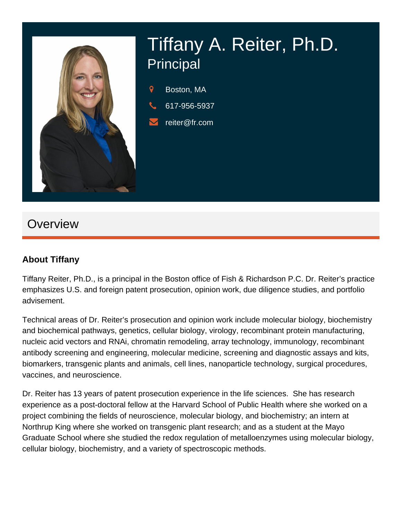

## **Overview**

#### **About Tiffany**

Tiffany Reiter, Ph.D., is a principal in the Boston office of Fish & Richardson P.C. Dr. Reiter's practice emphasizes U.S. and foreign patent prosecution, opinion work, due diligence studies, and portfolio advisement.

Technical areas of Dr. Reiter's prosecution and opinion work include molecular biology, biochemistry and biochemical pathways, genetics, cellular biology, virology, recombinant protein manufacturing, nucleic acid vectors and RNAi, chromatin remodeling, array technology, immunology, recombinant antibody screening and engineering, molecular medicine, screening and diagnostic assays and kits, biomarkers, transgenic plants and animals, cell lines, nanoparticle technology, surgical procedures, vaccines, and neuroscience.

Dr. Reiter has 13 years of patent prosecution experience in the life sciences. She has research experience as a post-doctoral fellow at the Harvard School of Public Health where she worked on a project combining the fields of neuroscience, molecular biology, and biochemistry; an intern at Northrup King where she worked on transgenic plant research; and as a student at the Mayo Graduate School where she studied the redox regulation of metalloenzymes using molecular biology, cellular biology, biochemistry, and a variety of spectroscopic methods.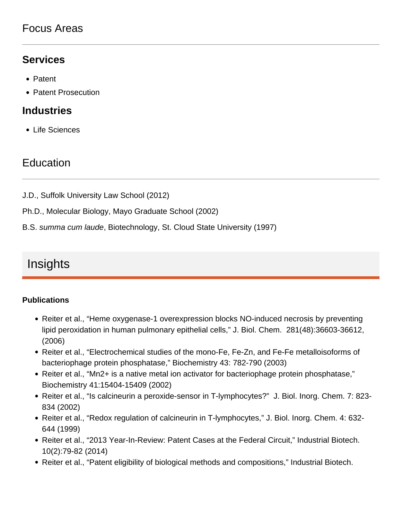### Focus Areas

### **Services**

- Patent
- Patent Prosecution

#### **Industries**

Life Sciences

## **Education**

- J.D., Suffolk University Law School (2012)
- Ph.D., Molecular Biology, Mayo Graduate School (2002)
- B.S. summa cum laude, Biotechnology, St. Cloud State University (1997)

# **Insights**

#### **Publications**

- Reiter et al., "Heme oxygenase-1 overexpression blocks NO-induced necrosis by preventing lipid peroxidation in human pulmonary epithelial cells," J. Biol. Chem. 281(48):36603-36612, (2006)
- Reiter et al., "Electrochemical studies of the mono-Fe, Fe-Zn, and Fe-Fe metalloisoforms of bacteriophage protein phosphatase," Biochemistry 43: 782-790 (2003)
- Reiter et al., "Mn2+ is a native metal ion activator for bacteriophage protein phosphatase," Biochemistry 41:15404-15409 (2002)
- Reiter et al., "Is calcineurin a peroxide-sensor in T-lymphocytes?" J. Biol. Inorg. Chem. 7: 823-834 (2002)
- Reiter et al., "Redox regulation of calcineurin in T-lymphocytes," J. Biol. Inorg. Chem. 4: 632-644 (1999)
- Reiter et al., "2013 Year-In-Review: Patent Cases at the Federal Circuit," Industrial Biotech. 10(2):79-82 (2014)
- Reiter et al., "Patent eligibility of biological methods and compositions," Industrial Biotech.